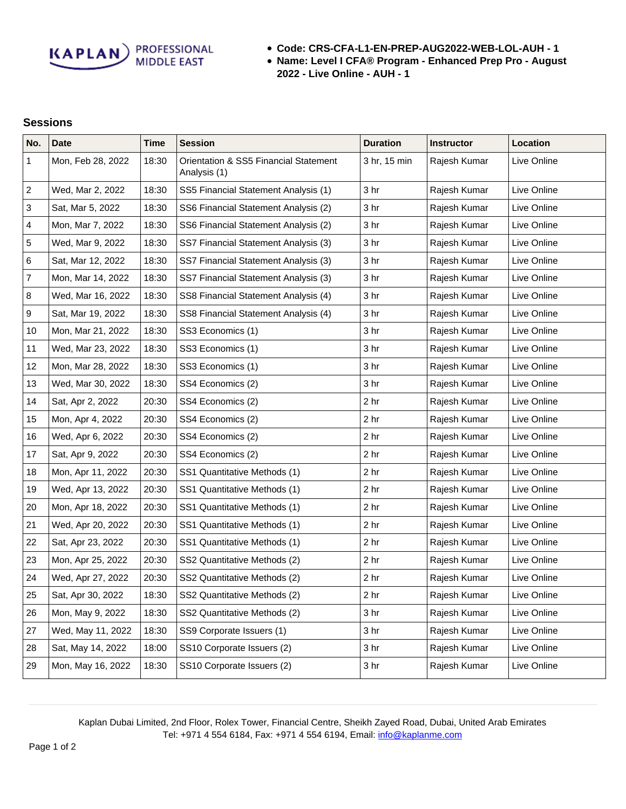**KAPLAN** PROFESSIONAL

- **Code: CRS-CFA-L1-EN-PREP-AUG2022-WEB-LOL-AUH 1**
- **Name: Level I CFA® Program Enhanced Prep Pro August 2022 - Live Online - AUH - 1**

## **Sessions**

| No.                      | <b>Date</b>       | <b>Time</b> | <b>Session</b>                                        | <b>Duration</b> | <b>Instructor</b> | Location    |
|--------------------------|-------------------|-------------|-------------------------------------------------------|-----------------|-------------------|-------------|
| $\mathbf{1}$             | Mon, Feb 28, 2022 | 18:30       | Orientation & SS5 Financial Statement<br>Analysis (1) | 3 hr, 15 min    | Rajesh Kumar      | Live Online |
| $\sqrt{2}$               | Wed, Mar 2, 2022  | 18:30       | SS5 Financial Statement Analysis (1)                  | 3 <sub>hr</sub> | Rajesh Kumar      | Live Online |
| 3                        | Sat, Mar 5, 2022  | 18:30       | SS6 Financial Statement Analysis (2)                  | 3 hr            | Rajesh Kumar      | Live Online |
| 4                        | Mon, Mar 7, 2022  | 18:30       | SS6 Financial Statement Analysis (2)                  | 3 hr            | Rajesh Kumar      | Live Online |
| 5                        | Wed, Mar 9, 2022  | 18:30       | SS7 Financial Statement Analysis (3)                  | 3 <sub>hr</sub> | Rajesh Kumar      | Live Online |
| 6                        | Sat, Mar 12, 2022 | 18:30       | SS7 Financial Statement Analysis (3)                  | 3 <sub>hr</sub> | Rajesh Kumar      | Live Online |
| $\overline{\mathcal{I}}$ | Mon, Mar 14, 2022 | 18:30       | SS7 Financial Statement Analysis (3)                  | 3 <sub>hr</sub> | Rajesh Kumar      | Live Online |
| $\bf 8$                  | Wed, Mar 16, 2022 | 18:30       | SS8 Financial Statement Analysis (4)                  | 3 <sub>hr</sub> | Rajesh Kumar      | Live Online |
| 9                        | Sat, Mar 19, 2022 | 18:30       | SS8 Financial Statement Analysis (4)                  | 3 <sub>hr</sub> | Rajesh Kumar      | Live Online |
| 10                       | Mon, Mar 21, 2022 | 18:30       | SS3 Economics (1)                                     | 3 <sub>hr</sub> | Rajesh Kumar      | Live Online |
| 11                       | Wed, Mar 23, 2022 | 18:30       | SS3 Economics (1)                                     | 3 hr            | Rajesh Kumar      | Live Online |
| 12                       | Mon, Mar 28, 2022 | 18:30       | SS3 Economics (1)                                     | 3 <sub>hr</sub> | Rajesh Kumar      | Live Online |
| 13                       | Wed, Mar 30, 2022 | 18:30       | SS4 Economics (2)                                     | 3 <sub>hr</sub> | Rajesh Kumar      | Live Online |
| 14                       | Sat, Apr 2, 2022  | 20:30       | SS4 Economics (2)                                     | 2 <sub>hr</sub> | Rajesh Kumar      | Live Online |
| 15                       | Mon, Apr 4, 2022  | 20:30       | SS4 Economics (2)                                     | 2 <sub>hr</sub> | Rajesh Kumar      | Live Online |
| 16                       | Wed, Apr 6, 2022  | 20:30       | SS4 Economics (2)                                     | 2 <sub>hr</sub> | Rajesh Kumar      | Live Online |
| 17                       | Sat, Apr 9, 2022  | 20:30       | SS4 Economics (2)                                     | 2 <sub>hr</sub> | Rajesh Kumar      | Live Online |
| 18                       | Mon, Apr 11, 2022 | 20:30       | SS1 Quantitative Methods (1)                          | 2 <sub>hr</sub> | Rajesh Kumar      | Live Online |
| 19                       | Wed, Apr 13, 2022 | 20:30       | SS1 Quantitative Methods (1)                          | 2 <sub>hr</sub> | Rajesh Kumar      | Live Online |
| 20                       | Mon, Apr 18, 2022 | 20:30       | SS1 Quantitative Methods (1)                          | 2 <sub>hr</sub> | Rajesh Kumar      | Live Online |
| 21                       | Wed, Apr 20, 2022 | 20:30       | SS1 Quantitative Methods (1)                          | 2 <sub>hr</sub> | Rajesh Kumar      | Live Online |
| 22                       | Sat, Apr 23, 2022 | 20:30       | SS1 Quantitative Methods (1)                          | 2 <sub>hr</sub> | Rajesh Kumar      | Live Online |
| 23                       | Mon, Apr 25, 2022 | 20:30       | SS2 Quantitative Methods (2)                          | 2 <sub>hr</sub> | Rajesh Kumar      | Live Online |
| 24                       | Wed, Apr 27, 2022 | 20:30       | SS2 Quantitative Methods (2)                          | 2 <sub>hr</sub> | Rajesh Kumar      | Live Online |
| 25                       | Sat, Apr 30, 2022 | 18:30       | SS2 Quantitative Methods (2)                          | 2 hr            | Rajesh Kumar      | Live Online |
| 26                       | Mon, May 9, 2022  | 18:30       | SS2 Quantitative Methods (2)                          | 3 <sub>hr</sub> | Rajesh Kumar      | Live Online |
| 27                       | Wed, May 11, 2022 | 18:30       | SS9 Corporate Issuers (1)                             | 3 <sub>hr</sub> | Rajesh Kumar      | Live Online |
| 28                       | Sat, May 14, 2022 | 18:00       | SS10 Corporate Issuers (2)                            | 3 <sub>hr</sub> | Rajesh Kumar      | Live Online |
| 29                       | Mon, May 16, 2022 | 18:30       | SS10 Corporate Issuers (2)                            | 3 <sub>hr</sub> | Rajesh Kumar      | Live Online |